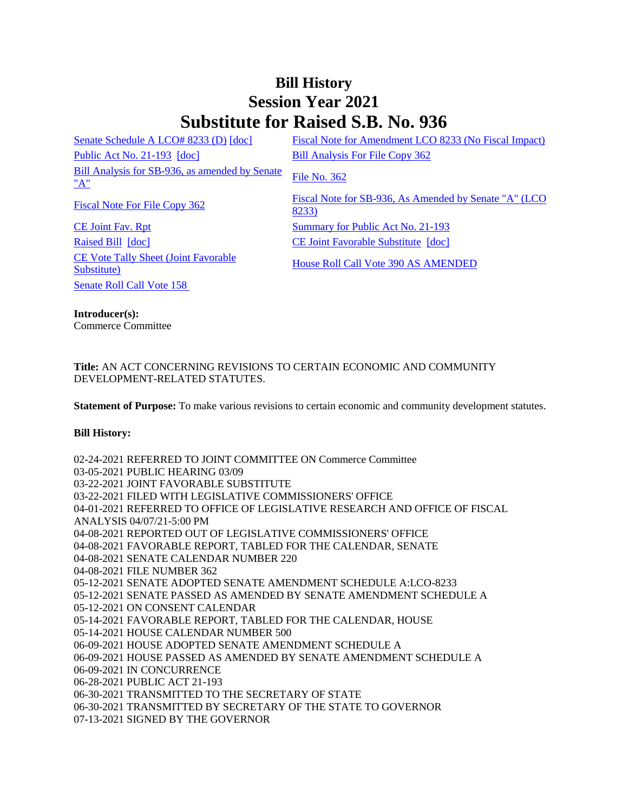## **Bill History Session Year 2021 Substitute for Raised S.B. No. 936**

[Senate Schedule A LCO# 8233 \(D\)](/2021/amd/S/pdf/2021SB-00936-R00SA-AMD.pdf) [\[doc\]](https://search.cga.state.ct.us/dl2021/AMD/doc/2021SB-00936-R00SA-AMD.docx) Fiscal Note for Amendment LCO 8233 (No Fiscal Impact) [Public Act No. 21-193](/2021/ACT/PA/PDF/2021PA-00193-R00SB-00936-PA.PDF) [\[doc\]](https://search.cga.state.ct.us/dl2021/PA/DOC/2021PA-00193-R00SB-00936-PA.DOCX) [Bill Analysis For File Copy 362](/2021/BA/PDF/2021SB-00936-R000362-BA.PDF) [Bill Analysis for SB-936, as amended by Senate](/2021/BA/PDF/2021SB-00936-R01-BA.PDF) [File No. 362](/2021/FC/PDF/2021SB-00936-R000362-FC.PDF)

[CE Joint Fav. Rpt](/2021/JFR/S/PDF/2021SB-00936-R00CE-JFR.PDF) [Summary for Public Act No. 21-193](/2021/SUM/PDF/2021SUM00193-R02SB-00936-SUM.PDF) [Raised Bill](/2021/TOB/S/PDF/2021SB-00936-R00-SB.PDF) [\[doc\]](https://search.cga.state.ct.us/dl2021/TOB/DOC/2021SB-00936-R01-SB.DOCX) [CE Joint Favorable Substitute](/2021/TOB/S/PDF/2021SB-00936-R01-SB.PDF) [doc] [CE Vote Tally Sheet \(Joint Favorable](/2021/TS/S/PDF/2021SB-00936-R00CE-CV85-TS.PDF)  <u>CE Vote Faily Sheet (John Favorable</u><br>[Substitute\)](/2021/TS/S/PDF/2021SB-00936-R00CE-CV85-TS.PDF) House Roll Call Vote 390 AS AMENDED</u> [Senate Roll Call Vote 158](/2021/VOTE/S/PDF/2021SV-00158-R00SB00936-SV.PDF) 

[Fiscal Note For File Copy 362](/2021/FN/PDF/2021SB-00936-R000362-FN.PDF)<br>
Fiscal Note for SB-936, As Amended by Senate "A" (LCO [8233\)](/2021/FN/PDF/2021SB-00936-R01-FN.PDF)

**Introducer(s):** Commerce Committee

## **Title:** AN ACT CONCERNING REVISIONS TO CERTAIN ECONOMIC AND COMMUNITY DEVELOPMENT-RELATED STATUTES.

**Statement of Purpose:** To make various revisions to certain economic and community development statutes.

## **Bill History:**

02-24-2021 REFERRED TO JOINT COMMITTEE ON Commerce Committee 03-05-2021 PUBLIC HEARING 03/09 03-22-2021 JOINT FAVORABLE SUBSTITUTE 03-22-2021 FILED WITH LEGISLATIVE COMMISSIONERS' OFFICE 04-01-2021 REFERRED TO OFFICE OF LEGISLATIVE RESEARCH AND OFFICE OF FISCAL ANALYSIS 04/07/21-5:00 PM 04-08-2021 REPORTED OUT OF LEGISLATIVE COMMISSIONERS' OFFICE 04-08-2021 FAVORABLE REPORT, TABLED FOR THE CALENDAR, SENATE 04-08-2021 SENATE CALENDAR NUMBER 220 04-08-2021 FILE NUMBER 362 05-12-2021 SENATE ADOPTED SENATE AMENDMENT SCHEDULE A:LCO-8233 05-12-2021 SENATE PASSED AS AMENDED BY SENATE AMENDMENT SCHEDULE A 05-12-2021 ON CONSENT CALENDAR 05-14-2021 FAVORABLE REPORT, TABLED FOR THE CALENDAR, HOUSE 05-14-2021 HOUSE CALENDAR NUMBER 500 06-09-2021 HOUSE ADOPTED SENATE AMENDMENT SCHEDULE A 06-09-2021 HOUSE PASSED AS AMENDED BY SENATE AMENDMENT SCHEDULE A 06-09-2021 IN CONCURRENCE 06-28-2021 PUBLIC ACT 21-193 06-30-2021 TRANSMITTED TO THE SECRETARY OF STATE 06-30-2021 TRANSMITTED BY SECRETARY OF THE STATE TO GOVERNOR 07-13-2021 SIGNED BY THE GOVERNOR